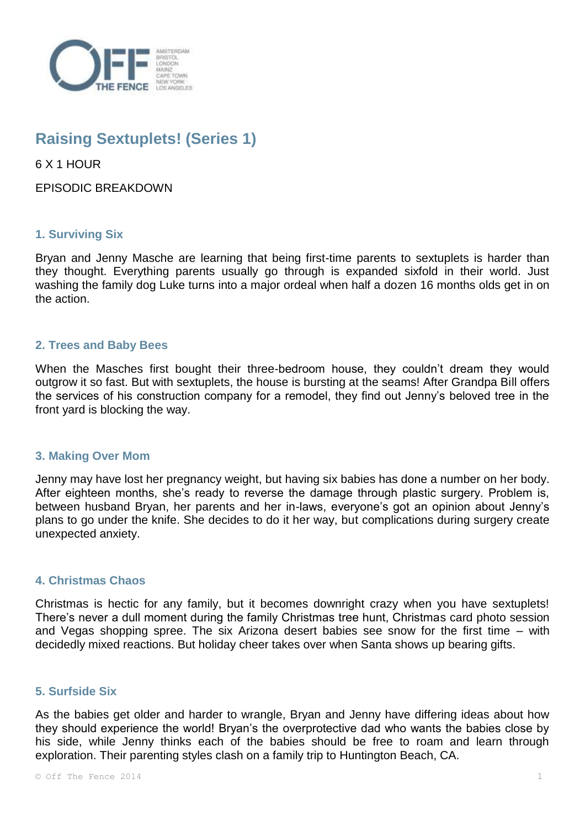

# **Raising Sextuplets! (Series 1)**

6 X 1 HOUR

EPISODIC BREAKDOWN

## **1. Surviving Six**

Bryan and Jenny Masche are learning that being first-time parents to sextuplets is harder than they thought. Everything parents usually go through is expanded sixfold in their world. Just washing the family dog Luke turns into a major ordeal when half a dozen 16 months olds get in on the action.

## **2. Trees and Baby Bees**

When the Masches first bought their three-bedroom house, they couldn't dream they would outgrow it so fast. But with sextuplets, the house is bursting at the seams! After Grandpa Bill offers the services of his construction company for a remodel, they find out Jenny's beloved tree in the front yard is blocking the way.

### **3. Making Over Mom**

Jenny may have lost her pregnancy weight, but having six babies has done a number on her body. After eighteen months, she's ready to reverse the damage through plastic surgery. Problem is, between husband Bryan, her parents and her in-laws, everyone's got an opinion about Jenny's plans to go under the knife. She decides to do it her way, but complications during surgery create unexpected anxiety.

## **4. Christmas Chaos**

Christmas is hectic for any family, but it becomes downright crazy when you have sextuplets! There's never a dull moment during the family Christmas tree hunt, Christmas card photo session and Vegas shopping spree. The six Arizona desert babies see snow for the first time – with decidedly mixed reactions. But holiday cheer takes over when Santa shows up bearing gifts.

### **5. Surfside Six**

As the babies get older and harder to wrangle, Bryan and Jenny have differing ideas about how they should experience the world! Bryan's the overprotective dad who wants the babies close by his side, while Jenny thinks each of the babies should be free to roam and learn through exploration. Their parenting styles clash on a family trip to Huntington Beach, CA.